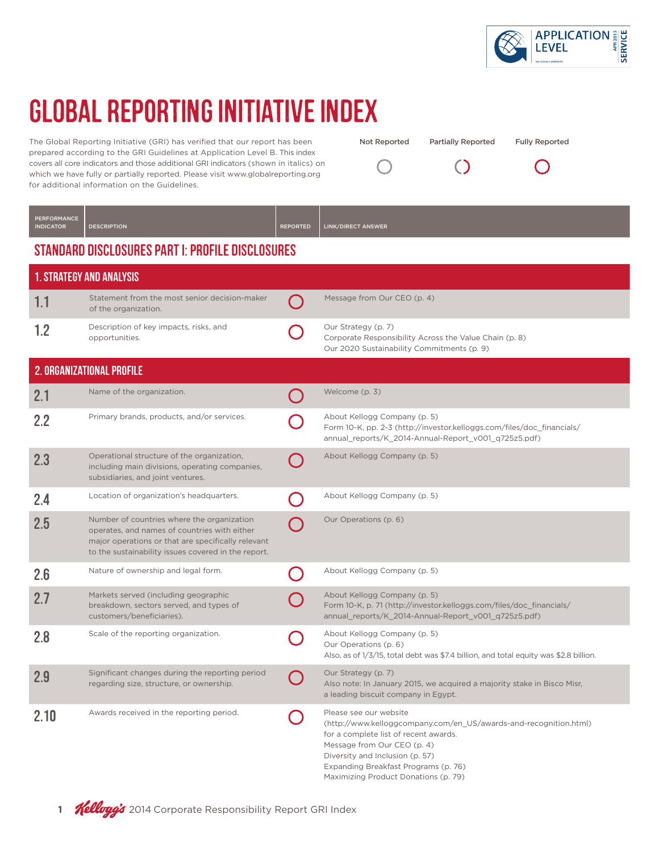

 $(\ )$ 

Partially Reported Fully Reported

 $\bigcirc$ 

# GLOBAL REPORTING INITIATIVE INDEX

The Global Reporting Initiative (GRI) has verified that our report has been prepared according to the GRI Guidelines at Application Level B. This index covers all core indicators and those additional GRI indicators (shown in italics) on which we have fully or partially reported. Please visit www.globalreporting.org for additional information on the Guidelines.

| <b>PERFORMANCE</b><br><b>INDICATOR</b> | <b>DESCRIPTION</b>                                                                                                                                                                                      | <b>REPORTED</b> | LINK/DIRECT ANSWER                                                                                                                                                                                                                                                                     |
|----------------------------------------|---------------------------------------------------------------------------------------------------------------------------------------------------------------------------------------------------------|-----------------|----------------------------------------------------------------------------------------------------------------------------------------------------------------------------------------------------------------------------------------------------------------------------------------|
|                                        | STANDARD DISCLOSURES PART I: PROFILE DISCLOSURES                                                                                                                                                        |                 |                                                                                                                                                                                                                                                                                        |
|                                        | <b>1. STRATEGY AND ANALYSIS</b>                                                                                                                                                                         |                 |                                                                                                                                                                                                                                                                                        |
| 1.1                                    | Statement from the most senior decision-maker<br>of the organization.                                                                                                                                   |                 | Message from Our CEO (p. 4)                                                                                                                                                                                                                                                            |
| 1.2                                    | Description of key impacts, risks, and<br>opportunities.                                                                                                                                                |                 | Our Strategy (p. 7)<br>Corporate Responsibility Across the Value Chain (p. 8)<br>Our 2020 Sustainability Commitments (p. 9)                                                                                                                                                            |
|                                        | 2. ORGANIZATIONAL PROFILE                                                                                                                                                                               |                 |                                                                                                                                                                                                                                                                                        |
| 2.1                                    | Name of the organization.                                                                                                                                                                               |                 | Welcome (p. 3)                                                                                                                                                                                                                                                                         |
| 2.2                                    | Primary brands, products, and/or services.                                                                                                                                                              |                 | About Kellogg Company (p. 5)<br>Form 10-K, pp. 2-3 (http://investor.kelloggs.com/files/doc_financials/<br>annual reports/K 2014-Annual-Report v001_q725z5.pdf)                                                                                                                         |
| 2.3                                    | Operational structure of the organization,<br>including main divisions, operating companies,<br>subsidiaries, and joint ventures.                                                                       |                 | About Kellogg Company (p. 5)                                                                                                                                                                                                                                                           |
| 2.4                                    | Location of organization's headquarters.                                                                                                                                                                |                 | About Kellogg Company (p. 5)                                                                                                                                                                                                                                                           |
| 2.5                                    | Number of countries where the organization<br>operates, and names of countries with either<br>major operations or that are specifically relevant<br>to the sustainability issues covered in the report. |                 | Our Operations (p. 6)                                                                                                                                                                                                                                                                  |
| 2.6                                    | Nature of ownership and legal form.                                                                                                                                                                     |                 | About Kellogg Company (p. 5)                                                                                                                                                                                                                                                           |
| 2.7                                    | Markets served (including geographic<br>breakdown, sectors served, and types of<br>customers/beneficiaries).                                                                                            |                 | About Kellogg Company (p. 5)<br>Form 10-K, p. 71 (http://investor.kelloggs.com/files/doc_financials/<br>annual_reports/K_2014-Annual-Report_v001_q725z5.pdf)                                                                                                                           |
| 2.8                                    | Scale of the reporting organization.                                                                                                                                                                    |                 | About Kellogg Company (p. 5)<br>Our Operations (p. 6)<br>Also, as of 1/3/15, total debt was \$7.4 billion, and total equity was \$2.8 billion.                                                                                                                                         |
| 2.9                                    | Significant changes during the reporting period<br>regarding size, structure, or ownership.                                                                                                             |                 | Our Strategy (p. 7)<br>Also note: In January 2015, we acquired a majority stake in Bisco Misr,<br>a leading biscuit company in Egypt.                                                                                                                                                  |
| 2.10                                   | Awards received in the reporting period.                                                                                                                                                                |                 | Please see our website<br>(http://www.kelloggcompany.com/en_US/awards-and-recognition.html)<br>for a complete list of recent awards.<br>Message from Our CEO (p. 4)<br>Diversity and Inclusion (p. 57)<br>Expanding Breakfast Programs (p. 76)<br>Maximizing Product Donations (p. 79) |

Not Reported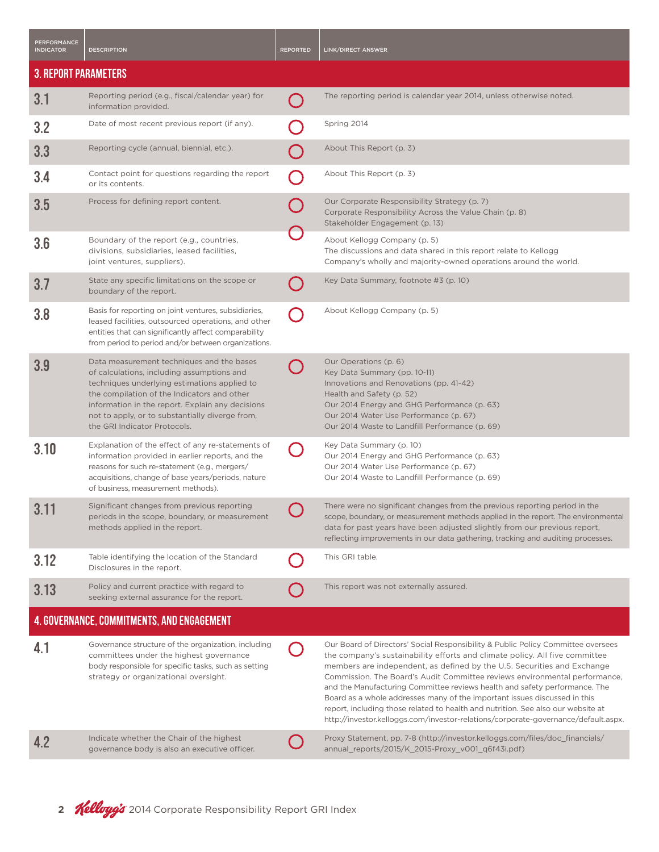| <b>PERFORMANCE</b><br><b>INDICATOR</b> | <b>DESCRIPTION</b>                                                                                                                                                                                                                                                                                                            | <b>REPORTED</b> | <b>LINK/DIRECT ANSWER</b>                                                                                                                                                                                                                                                                                                                                                                                                                                                                                                                                                                                                                                     |
|----------------------------------------|-------------------------------------------------------------------------------------------------------------------------------------------------------------------------------------------------------------------------------------------------------------------------------------------------------------------------------|-----------------|---------------------------------------------------------------------------------------------------------------------------------------------------------------------------------------------------------------------------------------------------------------------------------------------------------------------------------------------------------------------------------------------------------------------------------------------------------------------------------------------------------------------------------------------------------------------------------------------------------------------------------------------------------------|
| <b>3. REPORT PARAMETERS</b>            |                                                                                                                                                                                                                                                                                                                               |                 |                                                                                                                                                                                                                                                                                                                                                                                                                                                                                                                                                                                                                                                               |
| 3.1                                    | Reporting period (e.g., fiscal/calendar year) for<br>information provided.                                                                                                                                                                                                                                                    |                 | The reporting period is calendar year 2014, unless otherwise noted.                                                                                                                                                                                                                                                                                                                                                                                                                                                                                                                                                                                           |
| 3.2                                    | Date of most recent previous report (if any).                                                                                                                                                                                                                                                                                 |                 | Spring 2014                                                                                                                                                                                                                                                                                                                                                                                                                                                                                                                                                                                                                                                   |
| 3.3                                    | Reporting cycle (annual, biennial, etc.).                                                                                                                                                                                                                                                                                     |                 | About This Report (p. 3)                                                                                                                                                                                                                                                                                                                                                                                                                                                                                                                                                                                                                                      |
| 3.4                                    | Contact point for questions regarding the report<br>or its contents.                                                                                                                                                                                                                                                          |                 | About This Report (p. 3)                                                                                                                                                                                                                                                                                                                                                                                                                                                                                                                                                                                                                                      |
| 3.5                                    | Process for defining report content.                                                                                                                                                                                                                                                                                          |                 | Our Corporate Responsibility Strategy (p. 7)<br>Corporate Responsibility Across the Value Chain (p. 8)<br>Stakeholder Engagement (p. 13)                                                                                                                                                                                                                                                                                                                                                                                                                                                                                                                      |
| 3.6                                    | Boundary of the report (e.g., countries,<br>divisions, subsidiaries, leased facilities,<br>joint ventures, suppliers).                                                                                                                                                                                                        |                 | About Kellogg Company (p. 5)<br>The discussions and data shared in this report relate to Kellogg<br>Company's wholly and majority-owned operations around the world.                                                                                                                                                                                                                                                                                                                                                                                                                                                                                          |
| 3.7                                    | State any specific limitations on the scope or<br>boundary of the report.                                                                                                                                                                                                                                                     |                 | Key Data Summary, footnote #3 (p. 10)                                                                                                                                                                                                                                                                                                                                                                                                                                                                                                                                                                                                                         |
| 3.8                                    | Basis for reporting on joint ventures, subsidiaries,<br>leased facilities, outsourced operations, and other<br>entities that can significantly affect comparability<br>from period to period and/or between organizations.                                                                                                    |                 | About Kellogg Company (p. 5)                                                                                                                                                                                                                                                                                                                                                                                                                                                                                                                                                                                                                                  |
| 3.9                                    | Data measurement techniques and the bases<br>of calculations, including assumptions and<br>techniques underlying estimations applied to<br>the compilation of the Indicators and other<br>information in the report. Explain any decisions<br>not to apply, or to substantially diverge from,<br>the GRI Indicator Protocols. |                 | Our Operations (p. 6)<br>Key Data Summary (pp. 10-11)<br>Innovations and Renovations (pp. 41-42)<br>Health and Safety (p. 52)<br>Our 2014 Energy and GHG Performance (p. 63)<br>Our 2014 Water Use Performance (p. 67)<br>Our 2014 Waste to Landfill Performance (p. 69)                                                                                                                                                                                                                                                                                                                                                                                      |
| 3.10                                   | Explanation of the effect of any re-statements of<br>information provided in earlier reports, and the<br>reasons for such re-statement (e.g., mergers/<br>acquisitions, change of base years/periods, nature<br>of business, measurement methods).                                                                            |                 | Key Data Summary (p. 10)<br>Our 2014 Energy and GHG Performance (p. 63)<br>Our 2014 Water Use Performance (p. 67)<br>Our 2014 Waste to Landfill Performance (p. 69)                                                                                                                                                                                                                                                                                                                                                                                                                                                                                           |
| 3.11                                   | Significant changes from previous reporting<br>periods in the scope, boundary, or measurement<br>methods applied in the report.                                                                                                                                                                                               |                 | There were no significant changes from the previous reporting period in the<br>scope, boundary, or measurement methods applied in the report. The environmental<br>data for past years have been adjusted slightly from our previous report,<br>reflecting improvements in our data gathering, tracking and auditing processes.                                                                                                                                                                                                                                                                                                                               |
| 3.12                                   | Table identifying the location of the Standard<br>Disclosures in the report.                                                                                                                                                                                                                                                  |                 | This GRI table.                                                                                                                                                                                                                                                                                                                                                                                                                                                                                                                                                                                                                                               |
| 3.13                                   | Policy and current practice with regard to<br>seeking external assurance for the report.                                                                                                                                                                                                                                      |                 | This report was not externally assured.                                                                                                                                                                                                                                                                                                                                                                                                                                                                                                                                                                                                                       |
|                                        | 4. GOVERNANCE, COMMITMENTS, AND ENGAGEMENT                                                                                                                                                                                                                                                                                    |                 |                                                                                                                                                                                                                                                                                                                                                                                                                                                                                                                                                                                                                                                               |
| 4.1                                    | Governance structure of the organization, including<br>committees under the highest governance<br>body responsible for specific tasks, such as setting<br>strategy or organizational oversight.                                                                                                                               |                 | Our Board of Directors' Social Responsibility & Public Policy Committee oversees<br>the company's sustainability efforts and climate policy. All five committee<br>members are independent, as defined by the U.S. Securities and Exchange<br>Commission. The Board's Audit Committee reviews environmental performance,<br>and the Manufacturing Committee reviews health and safety performance. The<br>Board as a whole addresses many of the important issues discussed in this<br>report, including those related to health and nutrition. See also our website at<br>http://investor.kelloggs.com/investor-relations/corporate-governance/default.aspx. |
| 4.2                                    | Indicate whether the Chair of the highest<br>governance body is also an executive officer.                                                                                                                                                                                                                                    |                 | Proxy Statement, pp. 7-8 (http://investor.kelloggs.com/files/doc_financials/<br>annual_reports/2015/K_2015-Proxy_v001_q6f43i.pdf)                                                                                                                                                                                                                                                                                                                                                                                                                                                                                                                             |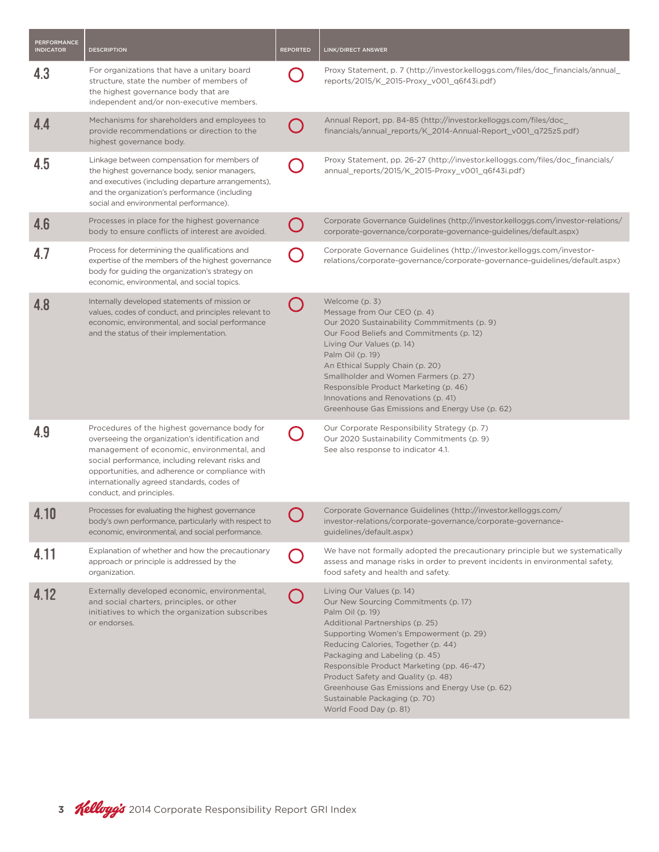| <b>PERFORMANCE</b><br><b>INDICATOR</b> | <b>DESCRIPTION</b>                                                                                                                                                                                                                                                                                                               | <b>REPORTED</b> | <b>LINK/DIRECT ANSWER</b>                                                                                                                                                                                                                                                                                                                                                                                                                    |
|----------------------------------------|----------------------------------------------------------------------------------------------------------------------------------------------------------------------------------------------------------------------------------------------------------------------------------------------------------------------------------|-----------------|----------------------------------------------------------------------------------------------------------------------------------------------------------------------------------------------------------------------------------------------------------------------------------------------------------------------------------------------------------------------------------------------------------------------------------------------|
| 4.3                                    | For organizations that have a unitary board<br>structure, state the number of members of<br>the highest governance body that are<br>independent and/or non-executive members.                                                                                                                                                    |                 | Proxy Statement, p. 7 (http://investor.kelloggs.com/files/doc_financials/annual_<br>reports/2015/K_2015-Proxy_v001_q6f43i.pdf)                                                                                                                                                                                                                                                                                                               |
| 4.4                                    | Mechanisms for shareholders and employees to<br>provide recommendations or direction to the<br>highest governance body.                                                                                                                                                                                                          |                 | Annual Report, pp. 84-85 (http://investor.kelloggs.com/files/doc_<br>financials/annual_reports/K_2014-Annual-Report_v001_q725z5.pdf)                                                                                                                                                                                                                                                                                                         |
| 4.5                                    | Linkage between compensation for members of<br>the highest governance body, senior managers,<br>and executives (including departure arrangements),<br>and the organization's performance (including<br>social and environmental performance).                                                                                    |                 | Proxy Statement, pp. 26-27 (http://investor.kelloggs.com/files/doc_financials/<br>annual_reports/2015/K_2015-Proxy_v001_q6f43i.pdf)                                                                                                                                                                                                                                                                                                          |
| 4.6                                    | Processes in place for the highest governance<br>body to ensure conflicts of interest are avoided.                                                                                                                                                                                                                               |                 | Corporate Governance Guidelines (http://investor.kelloggs.com/investor-relations/<br>corporate-governance/corporate-governance-guidelines/default.aspx)                                                                                                                                                                                                                                                                                      |
| 4.7                                    | Process for determining the qualifications and<br>expertise of the members of the highest governance<br>body for guiding the organization's strategy on<br>economic, environmental, and social topics.                                                                                                                           |                 | Corporate Governance Guidelines (http://investor.kelloggs.com/investor-<br>relations/corporate-governance/corporate-governance-guidelines/default.aspx)                                                                                                                                                                                                                                                                                      |
| 4.8                                    | Internally developed statements of mission or<br>values, codes of conduct, and principles relevant to<br>economic, environmental, and social performance<br>and the status of their implementation.                                                                                                                              |                 | Welcome (p. 3)<br>Message from Our CEO (p. 4)<br>Our 2020 Sustainability Commmitments (p. 9)<br>Our Food Beliefs and Commitments (p. 12)<br>Living Our Values (p. 14)<br>Palm Oil (p. 19)<br>An Ethical Supply Chain (p. 20)<br>Smallholder and Women Farmers (p. 27)<br>Responsible Product Marketing (p. 46)<br>Innovations and Renovations (p. 41)<br>Greenhouse Gas Emissions and Energy Use (p. 62)                                     |
| 4.9                                    | Procedures of the highest governance body for<br>overseeing the organization's identification and<br>management of economic, environmental, and<br>social performance, including relevant risks and<br>opportunities, and adherence or compliance with<br>internationally agreed standards, codes of<br>conduct, and principles. |                 | Our Corporate Responsibility Strategy (p. 7)<br>Our 2020 Sustainability Commitments (p. 9)<br>See also response to indicator 4.1.                                                                                                                                                                                                                                                                                                            |
| 4.10                                   | Processes for evaluating the highest governance<br>body's own performance, particularly with respect to<br>economic, environmental, and social performance.                                                                                                                                                                      |                 | Corporate Governance Guidelines (http://investor.kelloggs.com/<br>investor-relations/corporate-governance/corporate-governance-<br>guidelines/default.aspx)                                                                                                                                                                                                                                                                                  |
| 4.11                                   | Explanation of whether and how the precautionary<br>approach or principle is addressed by the<br>organization.                                                                                                                                                                                                                   |                 | We have not formally adopted the precautionary principle but we systematically<br>assess and manage risks in order to prevent incidents in environmental safety,<br>food safety and health and safety.                                                                                                                                                                                                                                       |
| 4.12                                   | Externally developed economic, environmental,<br>and social charters, principles, or other<br>initiatives to which the organization subscribes<br>or endorses.                                                                                                                                                                   |                 | Living Our Values (p. 14)<br>Our New Sourcing Commitments (p. 17)<br>Palm Oil (p. 19)<br>Additional Partnerships (p. 25)<br>Supporting Women's Empowerment (p. 29)<br>Reducing Calories, Together (p. 44)<br>Packaging and Labeling (p. 45)<br>Responsible Product Marketing (pp. 46-47)<br>Product Safety and Quality (p. 48)<br>Greenhouse Gas Emissions and Energy Use (p. 62)<br>Sustainable Packaging (p. 70)<br>World Food Day (p. 81) |

3 **Kelloyg's** 2014 Corporate Responsibility Report GRI Index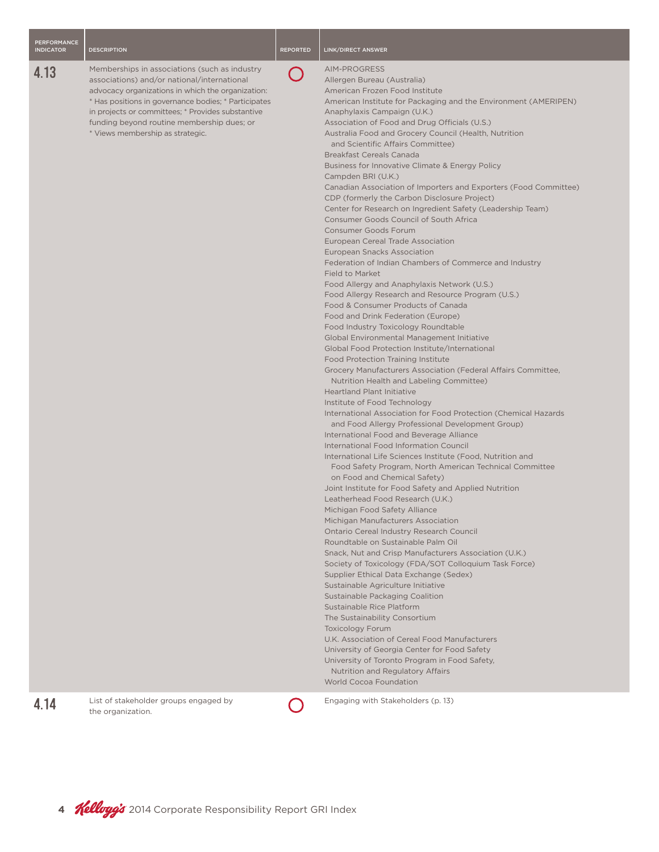## PERFORMANCE

#### **4.13** Memberships in associations (such as industry associations) and/or national/internat advocacy organizations in which the organization \* Has positions in governance bodies; \* in projects or committees; \* Provides su funding beyond routine membership d

\* Views membership as strategic.

### **INDICATOR DESCRIPTION INDICATOR DESCRIPTION REPORTED LINK/DIRECT ANSWER**

 $\sim$ 

AIM-PROGRESS

| tional<br>ganization:<br>Participates<br>ıbstantive<br>dues; or<br>У | Allergen Bureau (Australia)<br>American Frozen Food Institute<br>American Institute for Packaging and the Environment (AMERIPEN)<br>Anaphylaxis Campaign (U.K.)<br>Association of Food and Drug Officials (U.S.)<br>Australia Food and Grocery Council (Health, Nutrition<br>and Scientific Affairs Committee)<br><b>Breakfast Cereals Canada</b><br>Business for Innovative Climate & Energy Policy<br>Campden BRI (U.K.)<br>Canadian Association of Importers and Exporters (Food Committee)<br>CDP (formerly the Carbon Disclosure Project)<br>Center for Research on Ingredient Safety (Leadership Team)<br><b>Consumer Goods Council of South Africa</b><br><b>Consumer Goods Forum</b><br>European Cereal Trade Association<br>European Snacks Association<br>Federation of Indian Chambers of Commerce and Industry<br><b>Field to Market</b><br>Food Allergy and Anaphylaxis Network (U.S.)<br>Food Allergy Research and Resource Program (U.S.)<br>Food & Consumer Products of Canada<br>Food and Drink Federation (Europe)<br>Food Industry Toxicology Roundtable<br>Global Environmental Management Initiative<br>Global Food Protection Institute/International<br><b>Food Protection Training Institute</b><br>Grocery Manufacturers Association (Federal Affairs Committee,<br>Nutrition Health and Labeling Committee)<br><b>Heartland Plant Initiative</b><br>Institute of Food Technology<br>International Association for Food Protection (Chemical Hazards<br>and Food Allergy Professional Development Group)<br>International Food and Beverage Alliance<br>International Food Information Council<br>International Life Sciences Institute (Food, Nutrition and<br>Food Safety Program, North American Technical Committee<br>on Food and Chemical Safety)<br>Joint Institute for Food Safety and Applied Nutrition<br>Leatherhead Food Research (U.K.)<br>Michigan Food Safety Alliance<br>Michigan Manufacturers Association<br>Ontario Cereal Industry Research Council<br>Roundtable on Sustainable Palm Oil<br>Snack, Nut and Crisp Manufacturers Association (U.K.)<br>Society of Toxicology (FDA/SOT Colloquium Task Force)<br>Supplier Ethical Data Exchange (Sedex)<br>Sustainable Agriculture Initiative<br>Sustainable Packaging Coalition<br>Sustainable Rice Platform<br>The Sustainability Consortium<br><b>Toxicology Forum</b><br>U.K. Association of Cereal Food Manufacturers<br>University of Georgia Center for Food Safety<br>University of Toronto Program in Food Safety,<br><b>Nutrition and Regulatory Affairs</b><br><b>World Cocoa Foundation</b><br>Engaging with Stakeholders (p. 13) |
|----------------------------------------------------------------------|------------------------------------------------------------------------------------------------------------------------------------------------------------------------------------------------------------------------------------------------------------------------------------------------------------------------------------------------------------------------------------------------------------------------------------------------------------------------------------------------------------------------------------------------------------------------------------------------------------------------------------------------------------------------------------------------------------------------------------------------------------------------------------------------------------------------------------------------------------------------------------------------------------------------------------------------------------------------------------------------------------------------------------------------------------------------------------------------------------------------------------------------------------------------------------------------------------------------------------------------------------------------------------------------------------------------------------------------------------------------------------------------------------------------------------------------------------------------------------------------------------------------------------------------------------------------------------------------------------------------------------------------------------------------------------------------------------------------------------------------------------------------------------------------------------------------------------------------------------------------------------------------------------------------------------------------------------------------------------------------------------------------------------------------------------------------------------------------------------------------------------------------------------------------------------------------------------------------------------------------------------------------------------------------------------------------------------------------------------------------------------------------------------------------------------------------------------------------------------------------------------------------------------------------------------------------------------------------------------------------------------------|
|                                                                      |                                                                                                                                                                                                                                                                                                                                                                                                                                                                                                                                                                                                                                                                                                                                                                                                                                                                                                                                                                                                                                                                                                                                                                                                                                                                                                                                                                                                                                                                                                                                                                                                                                                                                                                                                                                                                                                                                                                                                                                                                                                                                                                                                                                                                                                                                                                                                                                                                                                                                                                                                                                                                                          |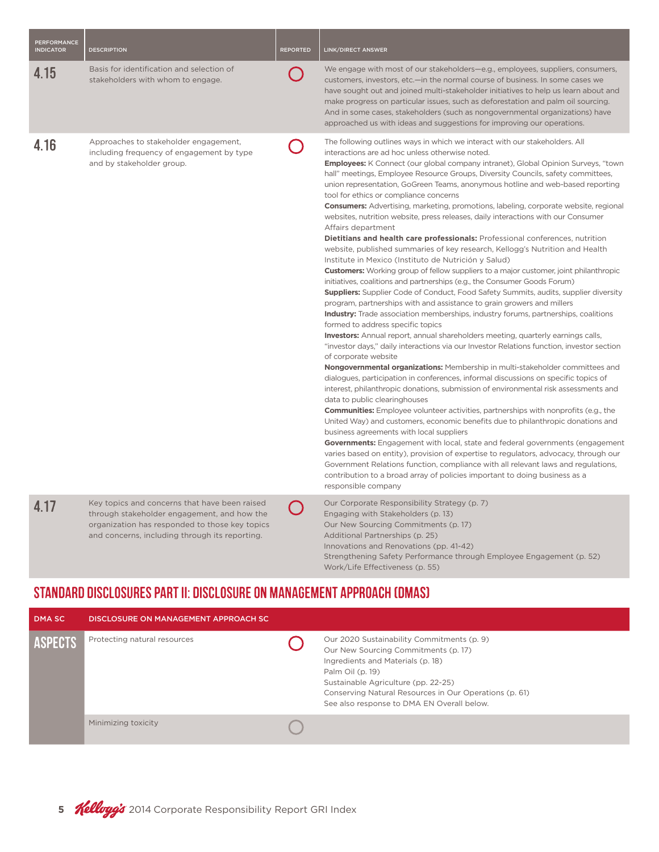| <b>PERFORMANCE</b><br><b>INDICATOR</b> | <b>DESCRIPTION</b>                                                                                                                                                                               | <b>REPORTED</b> | LINK/DIRECT ANSWER                                                                                                                                                                                                                                                                                                                                                                                                                                                                                                                                                                                                                                                                                                                                                                                                                                                                                                                                                                                                                                                                                                                                                                                                                                                                                                                                                                                                                                                                                                                                                                                                                                                                                                                                                                                                                                                                                                                                                                                                                                                                                                                                                                                                                                                                                                                                                                                                                                                                    |
|----------------------------------------|--------------------------------------------------------------------------------------------------------------------------------------------------------------------------------------------------|-----------------|---------------------------------------------------------------------------------------------------------------------------------------------------------------------------------------------------------------------------------------------------------------------------------------------------------------------------------------------------------------------------------------------------------------------------------------------------------------------------------------------------------------------------------------------------------------------------------------------------------------------------------------------------------------------------------------------------------------------------------------------------------------------------------------------------------------------------------------------------------------------------------------------------------------------------------------------------------------------------------------------------------------------------------------------------------------------------------------------------------------------------------------------------------------------------------------------------------------------------------------------------------------------------------------------------------------------------------------------------------------------------------------------------------------------------------------------------------------------------------------------------------------------------------------------------------------------------------------------------------------------------------------------------------------------------------------------------------------------------------------------------------------------------------------------------------------------------------------------------------------------------------------------------------------------------------------------------------------------------------------------------------------------------------------------------------------------------------------------------------------------------------------------------------------------------------------------------------------------------------------------------------------------------------------------------------------------------------------------------------------------------------------------------------------------------------------------------------------------------------------|
| 4.15                                   | Basis for identification and selection of<br>stakeholders with whom to engage.                                                                                                                   |                 | We engage with most of our stakeholders-e.g., employees, suppliers, consumers,<br>customers, investors, etc.—in the normal course of business. In some cases we<br>have sought out and joined multi-stakeholder initiatives to help us learn about and<br>make progress on particular issues, such as deforestation and palm oil sourcing.<br>And in some cases, stakeholders (such as nongovernmental organizations) have<br>approached us with ideas and suggestions for improving our operations.                                                                                                                                                                                                                                                                                                                                                                                                                                                                                                                                                                                                                                                                                                                                                                                                                                                                                                                                                                                                                                                                                                                                                                                                                                                                                                                                                                                                                                                                                                                                                                                                                                                                                                                                                                                                                                                                                                                                                                                  |
| 4.16                                   | Approaches to stakeholder engagement,<br>including frequency of engagement by type<br>and by stakeholder group.                                                                                  |                 | The following outlines ways in which we interact with our stakeholders. All<br>interactions are ad hoc unless otherwise noted.<br><b>Employees:</b> K Connect (our global company intranet), Global Opinion Surveys, "town<br>hall" meetings, Employee Resource Groups, Diversity Councils, safety committees,<br>union representation, GoGreen Teams, anonymous hotline and web-based reporting<br>tool for ethics or compliance concerns<br><b>Consumers:</b> Advertising, marketing, promotions, labeling, corporate website, regional<br>websites, nutrition website, press releases, daily interactions with our Consumer<br>Affairs department<br>Dietitians and health care professionals: Professional conferences, nutrition<br>website, published summaries of key research, Kellogg's Nutrition and Health<br>Institute in Mexico (Instituto de Nutrición y Salud)<br><b>Customers:</b> Working group of fellow suppliers to a major customer, joint philanthropic<br>initiatives, coalitions and partnerships (e.g., the Consumer Goods Forum)<br><b>Suppliers:</b> Supplier Code of Conduct, Food Safety Summits, audits, supplier diversity<br>program, partnerships with and assistance to grain growers and millers<br><b>Industry:</b> Trade association memberships, industry forums, partnerships, coalitions<br>formed to address specific topics<br>Investors: Annual report, annual shareholders meeting, quarterly earnings calls,<br>"investor days," daily interactions via our Investor Relations function, investor section<br>of corporate website<br>Nongovernmental organizations: Membership in multi-stakeholder committees and<br>dialogues, participation in conferences, informal discussions on specific topics of<br>interest, philanthropic donations, submission of environmental risk assessments and<br>data to public clearinghouses<br><b>Communities:</b> Employee volunteer activities, partnerships with nonprofits (e.g., the<br>United Way) and customers, economic benefits due to philanthropic donations and<br>business agreements with local suppliers<br><b>Governments:</b> Engagement with local, state and federal governments (engagement<br>varies based on entity), provision of expertise to regulators, advocacy, through our<br>Government Relations function, compliance with all relevant laws and regulations,<br>contribution to a broad array of policies important to doing business as a<br>responsible company |
| 4.17                                   | Key topics and concerns that have been raised<br>through stakeholder engagement, and how the<br>organization has responded to those key topics<br>and concerns, including through its reporting. |                 | Our Corporate Responsibility Strategy (p. 7)<br>Engaging with Stakeholders (p. 13)<br>Our New Sourcing Commitments (p. 17)<br>Additional Partnerships (p. 25)<br>Innovations and Renovations (pp. 41-42)<br>Strengthening Safety Performance through Employee Engagement (p. 52)                                                                                                                                                                                                                                                                                                                                                                                                                                                                                                                                                                                                                                                                                                                                                                                                                                                                                                                                                                                                                                                                                                                                                                                                                                                                                                                                                                                                                                                                                                                                                                                                                                                                                                                                                                                                                                                                                                                                                                                                                                                                                                                                                                                                      |

## STANDARD DISCLOSURES PART II: DISCLOSURE ON MANAGEMENT APPROACH (DMAS)

| DMA SC         | DISCLOSURE ON MANAGEMENT APPROACH SC |                                                                                                                                                                                                                                                                                            |
|----------------|--------------------------------------|--------------------------------------------------------------------------------------------------------------------------------------------------------------------------------------------------------------------------------------------------------------------------------------------|
| <b>ASPECTS</b> | Protecting natural resources         | Our 2020 Sustainability Commitments (p. 9)<br>Our New Sourcing Commitments (p. 17)<br>Ingredients and Materials (p. 18)<br>Palm Oil (p. 19)<br>Sustainable Agriculture (pp. 22-25)<br>Conserving Natural Resources in Our Operations (p. 61)<br>See also response to DMA EN Overall below. |
|                | Minimizing toxicity                  |                                                                                                                                                                                                                                                                                            |

Work/Life Effectiveness (p. 55)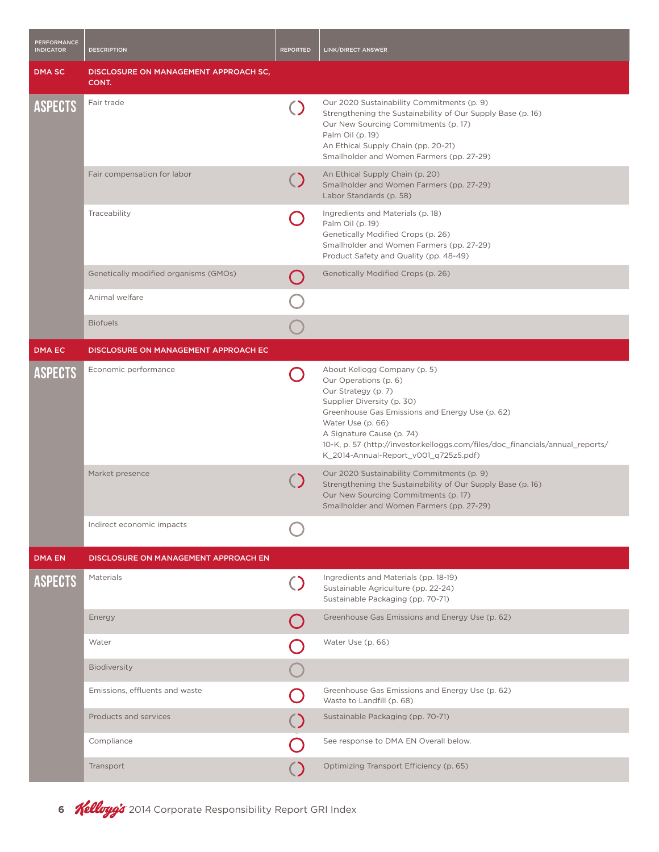| <b>PERFORMANCE</b><br><b>INDICATOR</b> | <b>DESCRIPTION</b>                             | <b>REPORTED</b> | <b>LINK/DIRECT ANSWER</b>                                                                                                                                                                                                                                                                                                                  |
|----------------------------------------|------------------------------------------------|-----------------|--------------------------------------------------------------------------------------------------------------------------------------------------------------------------------------------------------------------------------------------------------------------------------------------------------------------------------------------|
| <b>DMA SC</b>                          | DISCLOSURE ON MANAGEMENT APPROACH SC,<br>CONT. |                 |                                                                                                                                                                                                                                                                                                                                            |
| <b>ASPECTS</b>                         | Fair trade                                     | $\bigcirc$      | Our 2020 Sustainability Commitments (p. 9)<br>Strengthening the Sustainability of Our Supply Base (p. 16)<br>Our New Sourcing Commitments (p. 17)<br>Palm Oil (p. 19)<br>An Ethical Supply Chain (pp. 20-21)<br>Smallholder and Women Farmers (pp. 27-29)                                                                                  |
|                                        | Fair compensation for labor                    |                 | An Ethical Supply Chain (p. 20)<br>Smallholder and Women Farmers (pp. 27-29)<br>Labor Standards (p. 58)                                                                                                                                                                                                                                    |
|                                        | Traceability                                   |                 | Ingredients and Materials (p. 18)<br>Palm Oil (p. 19)<br>Genetically Modified Crops (p. 26)<br>Smallholder and Women Farmers (pp. 27-29)<br>Product Safety and Quality (pp. 48-49)                                                                                                                                                         |
|                                        | Genetically modified organisms (GMOs)          |                 | Genetically Modified Crops (p. 26)                                                                                                                                                                                                                                                                                                         |
|                                        | Animal welfare                                 |                 |                                                                                                                                                                                                                                                                                                                                            |
|                                        | <b>Biofuels</b>                                |                 |                                                                                                                                                                                                                                                                                                                                            |
| <b>DMA EC</b>                          | DISCLOSURE ON MANAGEMENT APPROACH EC           |                 |                                                                                                                                                                                                                                                                                                                                            |
| <b>ASPECTS</b>                         | Economic performance                           |                 | About Kellogg Company (p. 5)<br>Our Operations (p. 6)<br>Our Strategy (p. 7)<br>Supplier Diversity (p. 30)<br>Greenhouse Gas Emissions and Energy Use (p. 62)<br>Water Use (p. 66)<br>A Signature Cause (p. 74)<br>10-K, p. 57 (http://investor.kelloggs.com/files/doc_financials/annual_reports/<br>K_2014-Annual-Report_v001_q725z5.pdf) |
|                                        | Market presence                                |                 | Our 2020 Sustainability Commitments (p. 9)<br>Strengthening the Sustainability of Our Supply Base (p. 16)<br>Our New Sourcing Commitments (p. 17)<br>Smallholder and Women Farmers (pp. 27-29)                                                                                                                                             |
|                                        | Indirect economic impacts                      |                 |                                                                                                                                                                                                                                                                                                                                            |
| <b>DMA EN</b>                          | DISCLOSURE ON MANAGEMENT APPROACH EN           |                 |                                                                                                                                                                                                                                                                                                                                            |
| <b>ASPECTS</b>                         | Materials                                      | $\bigcirc$      | Ingredients and Materials (pp. 18-19)<br>Sustainable Agriculture (pp. 22-24)<br>Sustainable Packaging (pp. 70-71)                                                                                                                                                                                                                          |
|                                        | Energy                                         |                 | Greenhouse Gas Emissions and Energy Use (p. 62)                                                                                                                                                                                                                                                                                            |
|                                        | Water                                          |                 | Water Use (p. 66)                                                                                                                                                                                                                                                                                                                          |
|                                        | Biodiversity                                   |                 |                                                                                                                                                                                                                                                                                                                                            |
|                                        | Emissions, effluents and waste                 |                 | Greenhouse Gas Emissions and Energy Use (p. 62)<br>Waste to Landfill (p. 68)                                                                                                                                                                                                                                                               |
|                                        | Products and services                          |                 | Sustainable Packaging (pp. 70-71)                                                                                                                                                                                                                                                                                                          |
|                                        | Compliance                                     |                 | See response to DMA EN Overall below.                                                                                                                                                                                                                                                                                                      |
|                                        | Transport                                      |                 | Optimizing Transport Efficiency (p. 65)                                                                                                                                                                                                                                                                                                    |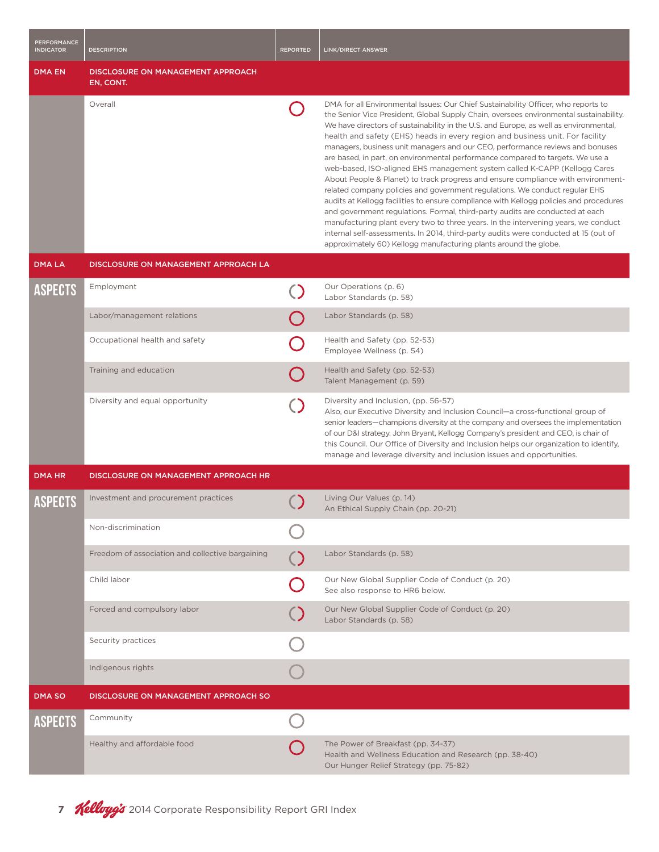| <b>PERFORMANCE</b><br><b>INDICATOR</b> | <b>DESCRIPTION</b>                               | <b>REPORTED</b> | <b>LINK/DIRECT ANSWER</b>                                                                                                                                                                                                                                                                                                                                                                                                                                                                                                                                                                                                                                                                                                                                                                                                                                                                                                                                                                                                                                                                                                                                                                            |
|----------------------------------------|--------------------------------------------------|-----------------|------------------------------------------------------------------------------------------------------------------------------------------------------------------------------------------------------------------------------------------------------------------------------------------------------------------------------------------------------------------------------------------------------------------------------------------------------------------------------------------------------------------------------------------------------------------------------------------------------------------------------------------------------------------------------------------------------------------------------------------------------------------------------------------------------------------------------------------------------------------------------------------------------------------------------------------------------------------------------------------------------------------------------------------------------------------------------------------------------------------------------------------------------------------------------------------------------|
| <b>DMA EN</b>                          | DISCLOSURE ON MANAGEMENT APPROACH<br>EN, CONT.   |                 |                                                                                                                                                                                                                                                                                                                                                                                                                                                                                                                                                                                                                                                                                                                                                                                                                                                                                                                                                                                                                                                                                                                                                                                                      |
|                                        | Overall                                          |                 | DMA for all Environmental Issues: Our Chief Sustainability Officer, who reports to<br>the Senior Vice President, Global Supply Chain, oversees environmental sustainability.<br>We have directors of sustainability in the U.S. and Europe, as well as environmental,<br>health and safety (EHS) heads in every region and business unit. For facility<br>managers, business unit managers and our CEO, performance reviews and bonuses<br>are based, in part, on environmental performance compared to targets. We use a<br>web-based, ISO-aligned EHS management system called K-CAPP (Kellogg Cares<br>About People & Planet) to track progress and ensure compliance with environment-<br>related company policies and government regulations. We conduct regular EHS<br>audits at Kellogg facilities to ensure compliance with Kellogg policies and procedures<br>and government regulations. Formal, third-party audits are conducted at each<br>manufacturing plant every two to three years. In the intervening years, we conduct<br>internal self-assessments. In 2014, third-party audits were conducted at 15 (out of<br>approximately 60) Kellogg manufacturing plants around the globe. |
| <b>DMALA</b>                           | DISCLOSURE ON MANAGEMENT APPROACH LA             |                 |                                                                                                                                                                                                                                                                                                                                                                                                                                                                                                                                                                                                                                                                                                                                                                                                                                                                                                                                                                                                                                                                                                                                                                                                      |
| ASPECTS                                | Employment                                       |                 | Our Operations (p. 6)<br>Labor Standards (p. 58)                                                                                                                                                                                                                                                                                                                                                                                                                                                                                                                                                                                                                                                                                                                                                                                                                                                                                                                                                                                                                                                                                                                                                     |
|                                        | Labor/management relations                       |                 | Labor Standards (p. 58)                                                                                                                                                                                                                                                                                                                                                                                                                                                                                                                                                                                                                                                                                                                                                                                                                                                                                                                                                                                                                                                                                                                                                                              |
|                                        | Occupational health and safety                   |                 | Health and Safety (pp. 52-53)<br>Employee Wellness (p. 54)                                                                                                                                                                                                                                                                                                                                                                                                                                                                                                                                                                                                                                                                                                                                                                                                                                                                                                                                                                                                                                                                                                                                           |
|                                        | Training and education                           |                 | Health and Safety (pp. 52-53)<br>Talent Management (p. 59)                                                                                                                                                                                                                                                                                                                                                                                                                                                                                                                                                                                                                                                                                                                                                                                                                                                                                                                                                                                                                                                                                                                                           |
|                                        | Diversity and equal opportunity                  |                 | Diversity and Inclusion, (pp. 56-57)<br>Also, our Executive Diversity and Inclusion Council-a cross-functional group of<br>senior leaders—champions diversity at the company and oversees the implementation<br>of our D&I strategy. John Bryant, Kellogg Company's president and CEO, is chair of<br>this Council. Our Office of Diversity and Inclusion helps our organization to identify,<br>manage and leverage diversity and inclusion issues and opportunities.                                                                                                                                                                                                                                                                                                                                                                                                                                                                                                                                                                                                                                                                                                                               |
| <b>DMA HR</b>                          | DISCLOSURE ON MANAGEMENT APPROACH HR             |                 |                                                                                                                                                                                                                                                                                                                                                                                                                                                                                                                                                                                                                                                                                                                                                                                                                                                                                                                                                                                                                                                                                                                                                                                                      |
| ASPECTS                                | Investment and procurement practices             |                 | Living Our Values (p. 14)<br>An Ethical Supply Chain (pp. 20-21)                                                                                                                                                                                                                                                                                                                                                                                                                                                                                                                                                                                                                                                                                                                                                                                                                                                                                                                                                                                                                                                                                                                                     |
|                                        | Non-discrimination                               |                 |                                                                                                                                                                                                                                                                                                                                                                                                                                                                                                                                                                                                                                                                                                                                                                                                                                                                                                                                                                                                                                                                                                                                                                                                      |
|                                        | Freedom of association and collective bargaining |                 | Labor Standards (p. 58)                                                                                                                                                                                                                                                                                                                                                                                                                                                                                                                                                                                                                                                                                                                                                                                                                                                                                                                                                                                                                                                                                                                                                                              |
|                                        | Child labor                                      |                 | Our New Global Supplier Code of Conduct (p. 20)<br>See also response to HR6 below.                                                                                                                                                                                                                                                                                                                                                                                                                                                                                                                                                                                                                                                                                                                                                                                                                                                                                                                                                                                                                                                                                                                   |
|                                        | Forced and compulsory labor                      |                 | Our New Global Supplier Code of Conduct (p. 20)<br>Labor Standards (p. 58)                                                                                                                                                                                                                                                                                                                                                                                                                                                                                                                                                                                                                                                                                                                                                                                                                                                                                                                                                                                                                                                                                                                           |
|                                        | Security practices                               |                 |                                                                                                                                                                                                                                                                                                                                                                                                                                                                                                                                                                                                                                                                                                                                                                                                                                                                                                                                                                                                                                                                                                                                                                                                      |
|                                        | Indigenous rights                                |                 |                                                                                                                                                                                                                                                                                                                                                                                                                                                                                                                                                                                                                                                                                                                                                                                                                                                                                                                                                                                                                                                                                                                                                                                                      |
| <b>DMA SO</b>                          | DISCLOSURE ON MANAGEMENT APPROACH SO             |                 |                                                                                                                                                                                                                                                                                                                                                                                                                                                                                                                                                                                                                                                                                                                                                                                                                                                                                                                                                                                                                                                                                                                                                                                                      |
| ASPECTS                                | Community                                        |                 |                                                                                                                                                                                                                                                                                                                                                                                                                                                                                                                                                                                                                                                                                                                                                                                                                                                                                                                                                                                                                                                                                                                                                                                                      |
|                                        | Healthy and affordable food                      |                 | The Power of Breakfast (pp. 34-37)<br>Health and Wellness Education and Research (pp. 38-40)<br>Our Hunger Relief Strategy (pp. 75-82)                                                                                                                                                                                                                                                                                                                                                                                                                                                                                                                                                                                                                                                                                                                                                                                                                                                                                                                                                                                                                                                               |

7 **Kellayy's** 2014 Corporate Responsibility Report GRI Index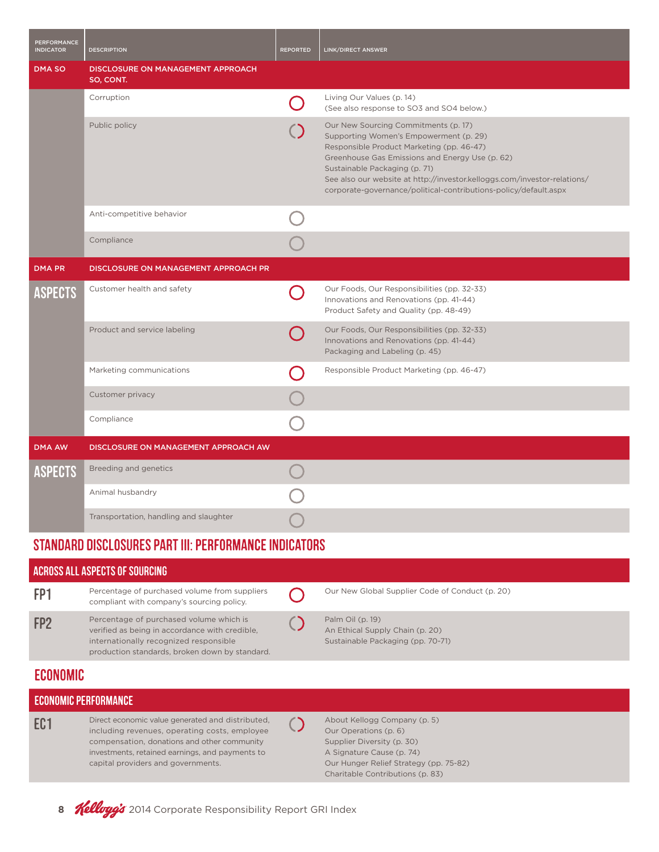| <b>PERFORMANCE</b><br><b>INDICATOR</b> | <b>DESCRIPTION</b>                             | <b>REPORTED</b> | <b>LINK/DIRECT ANSWER</b>                                                                                                                                                                                                                                                                                                                                       |
|----------------------------------------|------------------------------------------------|-----------------|-----------------------------------------------------------------------------------------------------------------------------------------------------------------------------------------------------------------------------------------------------------------------------------------------------------------------------------------------------------------|
| <b>DMA SO</b>                          | DISCLOSURE ON MANAGEMENT APPROACH<br>SO, CONT. |                 |                                                                                                                                                                                                                                                                                                                                                                 |
|                                        | Corruption                                     |                 | Living Our Values (p. 14)<br>(See also response to SO3 and SO4 below.)                                                                                                                                                                                                                                                                                          |
|                                        | Public policy                                  |                 | Our New Sourcing Commitments (p. 17)<br>Supporting Women's Empowerment (p. 29)<br>Responsible Product Marketing (pp. 46-47)<br>Greenhouse Gas Emissions and Energy Use (p. 62)<br>Sustainable Packaging (p. 71)<br>See also our website at http://investor.kelloggs.com/investor-relations/<br>corporate-governance/political-contributions-policy/default.aspx |
|                                        | Anti-competitive behavior                      |                 |                                                                                                                                                                                                                                                                                                                                                                 |
|                                        | Compliance                                     |                 |                                                                                                                                                                                                                                                                                                                                                                 |
| <b>DMA PR</b>                          | DISCLOSURE ON MANAGEMENT APPROACH PR           |                 |                                                                                                                                                                                                                                                                                                                                                                 |
| <b>ASPECTS</b>                         | Customer health and safety                     |                 | Our Foods, Our Responsibilities (pp. 32-33)<br>Innovations and Renovations (pp. 41-44)<br>Product Safety and Quality (pp. 48-49)                                                                                                                                                                                                                                |
|                                        | Product and service labeling                   |                 | Our Foods, Our Responsibilities (pp. 32-33)<br>Innovations and Renovations (pp. 41-44)<br>Packaging and Labeling (p. 45)                                                                                                                                                                                                                                        |
|                                        | Marketing communications                       |                 | Responsible Product Marketing (pp. 46-47)                                                                                                                                                                                                                                                                                                                       |
|                                        | Customer privacy                               |                 |                                                                                                                                                                                                                                                                                                                                                                 |
|                                        | Compliance                                     |                 |                                                                                                                                                                                                                                                                                                                                                                 |
| <b>DMA AW</b>                          | DISCLOSURE ON MANAGEMENT APPROACH AW           |                 |                                                                                                                                                                                                                                                                                                                                                                 |
| <b>ASPECTS</b>                         | Breeding and genetics                          |                 |                                                                                                                                                                                                                                                                                                                                                                 |
|                                        | Animal husbandry                               |                 |                                                                                                                                                                                                                                                                                                                                                                 |
|                                        | Transportation, handling and slaughter         |                 |                                                                                                                                                                                                                                                                                                                                                                 |

## STANDARD DISCLOSURES PART III: PERFORMANCE INDICATORS

| <b>ACROSS ALL ASPECTS OF SOURCING</b> |                                                                                                                                                                                                     |  |                                                                                                                  |  |
|---------------------------------------|-----------------------------------------------------------------------------------------------------------------------------------------------------------------------------------------------------|--|------------------------------------------------------------------------------------------------------------------|--|
| FP1                                   | Percentage of purchased volume from suppliers<br>compliant with company's sourcing policy.                                                                                                          |  | Our New Global Supplier Code of Conduct (p. 20)                                                                  |  |
| FP <sub>2</sub>                       | Percentage of purchased volume which is<br>verified as being in accordance with credible,<br>internationally recognized responsible<br>production standards, broken down by standard.               |  | Palm Oil (p. 19)<br>An Ethical Supply Chain (p. 20)<br>Sustainable Packaging (pp. 70-71)                         |  |
| <b>ECONOMIC</b>                       |                                                                                                                                                                                                     |  |                                                                                                                  |  |
| ECONOMIC PERFORMANCE                  |                                                                                                                                                                                                     |  |                                                                                                                  |  |
| EC <sub>1</sub>                       | Direct economic value generated and distributed,<br>including revenues, operating costs, employee<br>compensation, donations and other community<br>investments, retained earnings, and payments to |  | About Kellogg Company (p. 5)<br>Our Operations (p. 6)<br>Supplier Diversity (p. 30)<br>A Signature Cause (p. 74) |  |

Our Hunger Relief Strategy (pp. 75-82) Charitable Contributions (p. 83)

8 **Kelloyg's** 2014 Corporate Responsibility Report GRI Index

capital providers and governments.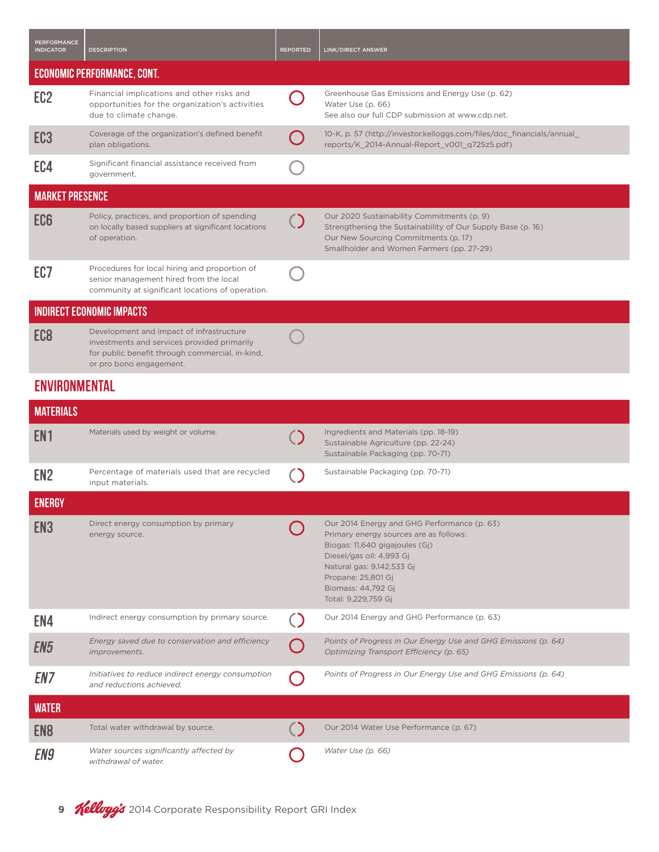| <b>PERFORMANCE</b><br><b>INDICATOR</b> | <b>DESCRIPTION</b>                                                                                                                                                    | <b>REPORTED</b> | <b>LINK/DIRECT ANSWER</b>                                                                                                                                                                      |  |  |
|----------------------------------------|-----------------------------------------------------------------------------------------------------------------------------------------------------------------------|-----------------|------------------------------------------------------------------------------------------------------------------------------------------------------------------------------------------------|--|--|
|                                        | <b>ECONOMIC PERFORMANCE, CONT.</b>                                                                                                                                    |                 |                                                                                                                                                                                                |  |  |
| EC <sub>2</sub>                        | Financial implications and other risks and<br>opportunities for the organization's activities<br>due to climate change.                                               |                 | Greenhouse Gas Emissions and Energy Use (p. 62)<br>Water Use (p. 66)<br>See also our full CDP submission at www.cdp.net.                                                                       |  |  |
| EC3                                    | Coverage of the organization's defined benefit<br>plan obligations.                                                                                                   |                 | 10-K, p. 57 (http://investor.kelloggs.com/files/doc_financials/annual_<br>reports/K_2014-Annual-Report_v001_q725z5.pdf)                                                                        |  |  |
| EC4                                    | Significant financial assistance received from<br>government.                                                                                                         |                 |                                                                                                                                                                                                |  |  |
| <b>MARKET PRESENCE</b>                 |                                                                                                                                                                       |                 |                                                                                                                                                                                                |  |  |
| EC <sub>6</sub>                        | Policy, practices, and proportion of spending<br>on locally based suppliers at significant locations<br>of operation.                                                 |                 | Our 2020 Sustainability Commitments (p. 9)<br>Strengthening the Sustainability of Our Supply Base (p. 16)<br>Our New Sourcing Commitments (p. 17)<br>Smallholder and Women Farmers (pp. 27-29) |  |  |
| EC7                                    | Procedures for local hiring and proportion of<br>senior management hired from the local<br>community at significant locations of operation.                           |                 |                                                                                                                                                                                                |  |  |
|                                        | <b>INDIRECT ECONOMIC IMPACTS</b>                                                                                                                                      |                 |                                                                                                                                                                                                |  |  |
| EC8                                    | Development and impact of infrastructure<br>investments and services provided primarily<br>for public benefit through commercial, in-kind,<br>or pro bono engagement. |                 |                                                                                                                                                                                                |  |  |
|                                        | ENVIRONMENTAL                                                                                                                                                         |                 |                                                                                                                                                                                                |  |  |

| <b>MATERIALS</b> |                                                                               |                                                                                                                                                                                                                                                     |
|------------------|-------------------------------------------------------------------------------|-----------------------------------------------------------------------------------------------------------------------------------------------------------------------------------------------------------------------------------------------------|
| EN1              | Materials used by weight or volume.                                           | Ingredients and Materials (pp. 18-19)<br>Sustainable Agriculture (pp. 22-24)<br>Sustainable Packaging (pp. 70-71)                                                                                                                                   |
| EN <sub>2</sub>  | Percentage of materials used that are recycled<br>input materials.            | Sustainable Packaging (pp. 70-71)                                                                                                                                                                                                                   |
| <b>ENERGY</b>    |                                                                               |                                                                                                                                                                                                                                                     |
| EN <sub>3</sub>  | Direct energy consumption by primary<br>energy source.                        | Our 2014 Energy and GHG Performance (p. 63)<br>Primary energy sources are as follows:<br>Biogas: 11,640 gigajoules (Gj)<br>Diesel/gas oil: 4,993 Gj<br>Natural gas: 9,142,533 Gi<br>Propane: 25,801 Gj<br>Biomass: 44,792 Gi<br>Total: 9,229,759 Gj |
| EN4              | Indirect energy consumption by primary source.                                | Our 2014 Energy and GHG Performance (p. 63)                                                                                                                                                                                                         |
| EN5              | Energy saved due to conservation and efficiency<br>improvements.              | Points of Progress in Our Energy Use and GHG Emissions (p. 64)<br>Optimizing Transport Efficiency (p. 65)                                                                                                                                           |
| EN7              | Initiatives to reduce indirect energy consumption<br>and reductions achieved. | Points of Progress in Our Energy Use and GHG Emissions (p. 64)                                                                                                                                                                                      |
| <b>WATER</b>     |                                                                               |                                                                                                                                                                                                                                                     |
| EN <sub>8</sub>  | Total water withdrawal by source.                                             | Our 2014 Water Use Performance (p. 67)                                                                                                                                                                                                              |
| EN9              | Water sources significantly affected by<br>withdrawal of water.               | Water Use (p. 66)                                                                                                                                                                                                                                   |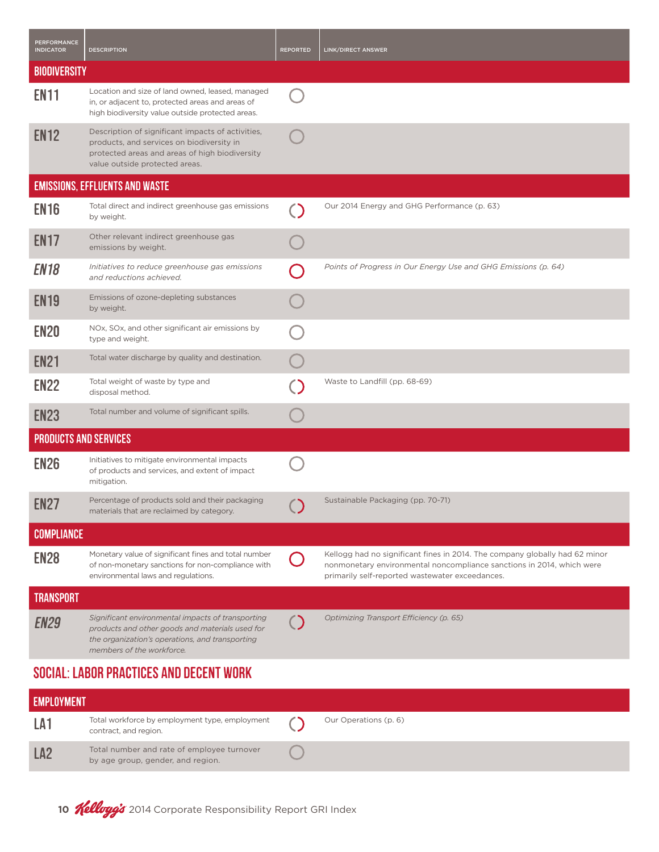| <b>PERFORMANCE</b><br><b>INDICATOR</b>  | <b>DESCRIPTION</b>                                                                                                                                                                   | <b>REPORTED</b> | <b>LINK/DIRECT ANSWER</b>                                                                                                                                                                               |  |  |
|-----------------------------------------|--------------------------------------------------------------------------------------------------------------------------------------------------------------------------------------|-----------------|---------------------------------------------------------------------------------------------------------------------------------------------------------------------------------------------------------|--|--|
| <b>BIODIVERSITY</b>                     |                                                                                                                                                                                      |                 |                                                                                                                                                                                                         |  |  |
| <b>EN11</b>                             | Location and size of land owned, leased, managed<br>in, or adjacent to, protected areas and areas of<br>high biodiversity value outside protected areas.                             |                 |                                                                                                                                                                                                         |  |  |
| <b>EN12</b>                             | Description of significant impacts of activities,<br>products, and services on biodiversity in<br>protected areas and areas of high biodiversity<br>value outside protected areas.   |                 |                                                                                                                                                                                                         |  |  |
|                                         | <b>EMISSIONS, EFFLUENTS AND WASTE</b>                                                                                                                                                |                 |                                                                                                                                                                                                         |  |  |
| <b>EN16</b>                             | Total direct and indirect greenhouse gas emissions<br>by weight.                                                                                                                     |                 | Our 2014 Energy and GHG Performance (p. 63)                                                                                                                                                             |  |  |
| <b>EN17</b>                             | Other relevant indirect greenhouse gas<br>emissions by weight.                                                                                                                       |                 |                                                                                                                                                                                                         |  |  |
| <b>EN18</b>                             | Initiatives to reduce greenhouse gas emissions<br>and reductions achieved.                                                                                                           |                 | Points of Progress in Our Energy Use and GHG Emissions (p. 64)                                                                                                                                          |  |  |
| <b>EN19</b>                             | Emissions of ozone-depleting substances<br>by weight.                                                                                                                                |                 |                                                                                                                                                                                                         |  |  |
| <b>EN20</b>                             | NOx, SOx, and other significant air emissions by<br>type and weight.                                                                                                                 |                 |                                                                                                                                                                                                         |  |  |
| <b>EN21</b>                             | Total water discharge by quality and destination.                                                                                                                                    |                 |                                                                                                                                                                                                         |  |  |
| <b>EN22</b>                             | Total weight of waste by type and<br>disposal method.                                                                                                                                |                 | Waste to Landfill (pp. 68-69)                                                                                                                                                                           |  |  |
| <b>EN23</b>                             | Total number and volume of significant spills.                                                                                                                                       |                 |                                                                                                                                                                                                         |  |  |
| <b>PRODUCTS AND SERVICES</b>            |                                                                                                                                                                                      |                 |                                                                                                                                                                                                         |  |  |
| <b>EN26</b>                             | Initiatives to mitigate environmental impacts<br>of products and services, and extent of impact<br>mitigation.                                                                       |                 |                                                                                                                                                                                                         |  |  |
| <b>EN27</b>                             | Percentage of products sold and their packaging<br>materials that are reclaimed by category.                                                                                         |                 | Sustainable Packaging (pp. 70-71)                                                                                                                                                                       |  |  |
| <b>COMPLIANCE</b>                       |                                                                                                                                                                                      |                 |                                                                                                                                                                                                         |  |  |
| <b>EN28</b>                             | Monetary value of significant fines and total number<br>of non-monetary sanctions for non-compliance with<br>environmental laws and regulations.                                     |                 | Kellogg had no significant fines in 2014. The company globally had 62 minor<br>nonmonetary environmental noncompliance sanctions in 2014, which were<br>primarily self-reported wastewater exceedances. |  |  |
| <b>TRANSPORT</b>                        |                                                                                                                                                                                      |                 |                                                                                                                                                                                                         |  |  |
| <b>EN29</b>                             | Significant environmental impacts of transporting<br>products and other goods and materials used for<br>the organization's operations, and transporting<br>members of the workforce. |                 | Optimizing Transport Efficiency (p. 65)                                                                                                                                                                 |  |  |
| SOCIAL: LABOR PRACTICES AND DECENT WORK |                                                                                                                                                                                      |                 |                                                                                                                                                                                                         |  |  |

| <b>EMPLOYMENT</b> |                                                                                 |  |                       |
|-------------------|---------------------------------------------------------------------------------|--|-----------------------|
| LA <sup>-</sup>   | Total workforce by employment type, employment<br>contract, and region.         |  | Our Operations (p. 6) |
| LA <sub>2</sub>   | Total number and rate of employee turnover<br>by age group, gender, and region. |  |                       |

10 **Kellogg's** 2014 Corporate Responsibility Report GRI Index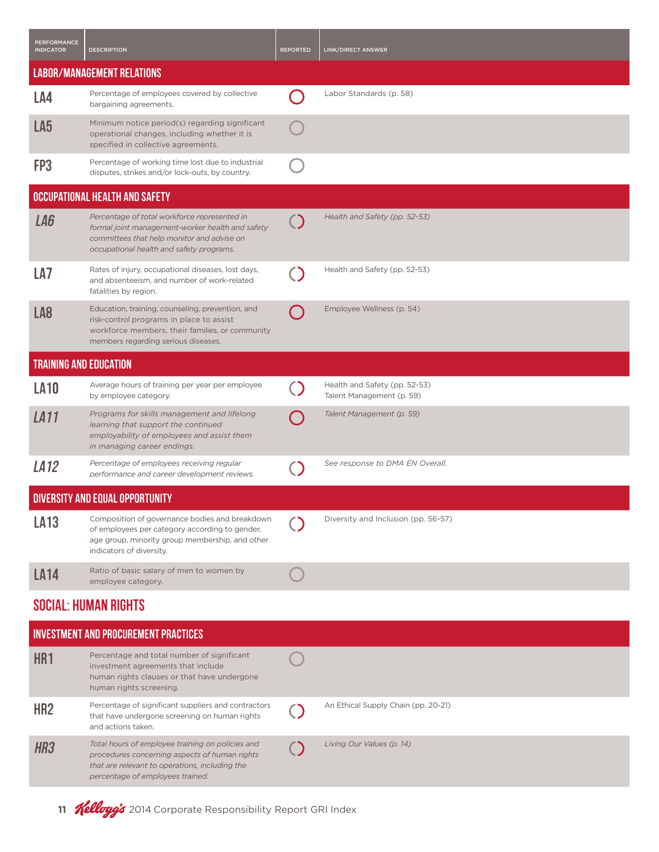| <b>PERFORMANCE</b><br><b>INDICATOR</b>      | <b>DESCRIPTION</b>                                                                                                                                                                         | <b>REPORTED</b> | LINK/DIRECT ANSWER                                         |  |
|---------------------------------------------|--------------------------------------------------------------------------------------------------------------------------------------------------------------------------------------------|-----------------|------------------------------------------------------------|--|
|                                             | <b>LABOR/MANAGEMENT RELATIONS</b>                                                                                                                                                          |                 |                                                            |  |
| LA4                                         | Percentage of employees covered by collective<br>bargaining agreements.                                                                                                                    |                 | Labor Standards (p. 58)                                    |  |
| LA <sub>5</sub>                             | Minimum notice period(s) regarding significant<br>operational changes, including whether it is<br>specified in collective agreements.                                                      |                 |                                                            |  |
| FP3                                         | Percentage of working time lost due to industrial<br>disputes, strikes and/or lock-outs, by country.                                                                                       |                 |                                                            |  |
|                                             | OCCUPATIONAL HEALTH AND SAFETY                                                                                                                                                             |                 |                                                            |  |
| LA6                                         | Percentage of total workforce represented in<br>formal joint management-worker health and safety<br>committees that help monitor and advise on<br>occupational health and safety programs. |                 | Health and Safety (pp. 52-53)                              |  |
| LA7                                         | Rates of injury, occupational diseases, lost days,<br>and absenteeism, and number of work-related<br>fatalities by region.                                                                 |                 | Health and Safety (pp. 52-53)                              |  |
| LA8                                         | Education, training, counseling, prevention, and<br>risk-control programs in place to assist<br>workforce members, their families, or community<br>members regarding serious diseases.     |                 | Employee Wellness (p. 54)                                  |  |
| <b>TRAINING AND EDUCATION</b>               |                                                                                                                                                                                            |                 |                                                            |  |
| <b>LA10</b>                                 | Average hours of training per year per employee<br>by employee category.                                                                                                                   |                 | Health and Safety (pp. 52-53)<br>Talent Management (p. 59) |  |
| LA <sub>11</sub>                            | Programs for skills management and lifelong<br>learning that support the continued<br>employability of employees and assist them<br>in managing career endings.                            |                 | Talent Management (p. 59)                                  |  |
| LA <sub>12</sub>                            | Percentage of employees receiving regular<br>performance and career development reviews.                                                                                                   |                 | See response to DMA EN Overall.                            |  |
|                                             | <b>DIVERSITY AND EQUAL OPPORTUNITY</b>                                                                                                                                                     |                 |                                                            |  |
| <b>LA13</b>                                 | Composition of governance bodies and breakdown<br>of employees per category according to gender,<br>age group, minority group membership, and other<br>indicators of diversity.            |                 | Diversity and Inclusion (pp. 56-57)                        |  |
| <b>LA14</b>                                 | Ratio of basic salary of men to women by<br>employee category.                                                                                                                             |                 |                                                            |  |
| <b>SOCIAL: HUMAN RIGHTS</b>                 |                                                                                                                                                                                            |                 |                                                            |  |
| <b>INVESTMENT AND PROCUREMENT PRACTICES</b> |                                                                                                                                                                                            |                 |                                                            |  |
| UD <sub>1</sub>                             | Percentage and total number of significant                                                                                                                                                 |                 |                                                            |  |

| HR <sub>1</sub> | Percentage and total number of significant<br>investment agreements that include<br>human rights clauses or that have undergone<br>human rights screening.                              |                                     |
|-----------------|-----------------------------------------------------------------------------------------------------------------------------------------------------------------------------------------|-------------------------------------|
| HR <sub>2</sub> | Percentage of significant suppliers and contractors<br>that have undergone screening on human rights<br>and actions taken.                                                              | An Ethical Supply Chain (pp. 20-21) |
| HR <sub>3</sub> | Total hours of employee training on policies and<br>procedures concerning aspects of human rights<br>that are relevant to operations, including the<br>percentage of employees trained. | Living Our Values (p. 14)           |

11 **Kelloyg's** 2014 Corporate Responsibility Report GRI Index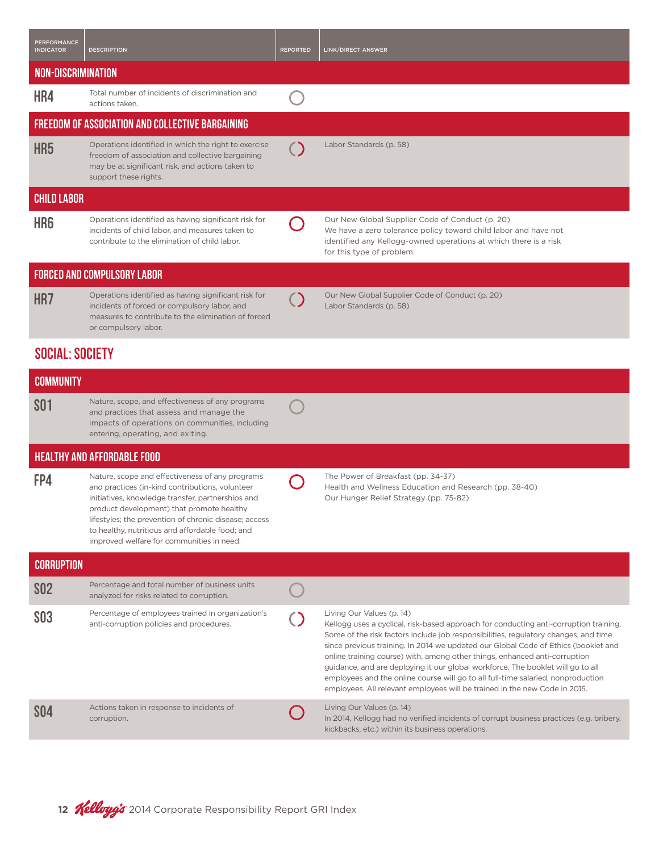| <b>PERFORMANCE</b><br><b>INDICATOR</b> | <b>DESCRIPTION</b>                                                                                                                                                                                                                                                                                                                                            | <b>REPORTED</b> | LINK/DIRECT ANSWER                                                                                                                                                                                                                                                                                                                                                                                                                                                                                                                                                                                                                 |  |
|----------------------------------------|---------------------------------------------------------------------------------------------------------------------------------------------------------------------------------------------------------------------------------------------------------------------------------------------------------------------------------------------------------------|-----------------|------------------------------------------------------------------------------------------------------------------------------------------------------------------------------------------------------------------------------------------------------------------------------------------------------------------------------------------------------------------------------------------------------------------------------------------------------------------------------------------------------------------------------------------------------------------------------------------------------------------------------------|--|
| NON-DISCRIMINATION                     |                                                                                                                                                                                                                                                                                                                                                               |                 |                                                                                                                                                                                                                                                                                                                                                                                                                                                                                                                                                                                                                                    |  |
| HR4                                    | Total number of incidents of discrimination and<br>actions taken.                                                                                                                                                                                                                                                                                             |                 |                                                                                                                                                                                                                                                                                                                                                                                                                                                                                                                                                                                                                                    |  |
|                                        | <b>FREEDOM OF ASSOCIATION AND COLLECTIVE BARGAINING</b>                                                                                                                                                                                                                                                                                                       |                 |                                                                                                                                                                                                                                                                                                                                                                                                                                                                                                                                                                                                                                    |  |
| HR <sub>5</sub>                        | Operations identified in which the right to exercise<br>freedom of association and collective bargaining<br>may be at significant risk, and actions taken to<br>support these rights.                                                                                                                                                                         |                 | Labor Standards (p. 58)                                                                                                                                                                                                                                                                                                                                                                                                                                                                                                                                                                                                            |  |
| <b>CHILD LABOR</b>                     |                                                                                                                                                                                                                                                                                                                                                               |                 |                                                                                                                                                                                                                                                                                                                                                                                                                                                                                                                                                                                                                                    |  |
| HR <sub>6</sub>                        | Operations identified as having significant risk for<br>incidents of child labor, and measures taken to<br>contribute to the elimination of child labor.                                                                                                                                                                                                      |                 | Our New Global Supplier Code of Conduct (p. 20)<br>We have a zero tolerance policy toward child labor and have not<br>identified any Kellogg-owned operations at which there is a risk<br>for this type of problem.                                                                                                                                                                                                                                                                                                                                                                                                                |  |
|                                        | <b>FORCED AND COMPULSORY LABOR</b>                                                                                                                                                                                                                                                                                                                            |                 |                                                                                                                                                                                                                                                                                                                                                                                                                                                                                                                                                                                                                                    |  |
| HR7                                    | Operations identified as having significant risk for<br>incidents of forced or compulsory labor, and<br>measures to contribute to the elimination of forced<br>or compulsory labor.                                                                                                                                                                           |                 | Our New Global Supplier Code of Conduct (p. 20)<br>Labor Standards (p. 58)                                                                                                                                                                                                                                                                                                                                                                                                                                                                                                                                                         |  |
| <b>SOCIAL: SOCIETY</b>                 |                                                                                                                                                                                                                                                                                                                                                               |                 |                                                                                                                                                                                                                                                                                                                                                                                                                                                                                                                                                                                                                                    |  |
| <b>COMMUNITY</b>                       |                                                                                                                                                                                                                                                                                                                                                               |                 |                                                                                                                                                                                                                                                                                                                                                                                                                                                                                                                                                                                                                                    |  |
| SO1                                    | Nature, scope, and effectiveness of any programs<br>and practices that assess and manage the<br>impacts of operations on communities, including<br>entering, operating, and exiting.                                                                                                                                                                          |                 |                                                                                                                                                                                                                                                                                                                                                                                                                                                                                                                                                                                                                                    |  |
|                                        | <b>HEALTHY AND AFFORDABLE FOOD</b>                                                                                                                                                                                                                                                                                                                            |                 |                                                                                                                                                                                                                                                                                                                                                                                                                                                                                                                                                                                                                                    |  |
| FP4                                    | Nature, scope and effectiveness of any programs<br>and practices (in-kind contributions, volunteer<br>initiatives, knowledge transfer, partnerships and<br>product development) that promote healthy<br>lifestyles; the prevention of chronic disease; access<br>to healthy, nutritious and affordable food; and<br>improved welfare for communities in need. |                 | The Power of Breakfast (pp. 34-37)<br>Health and Wellness Education and Research (pp. 38-40)<br>Our Hunger Relief Strategy (pp. 75-82)                                                                                                                                                                                                                                                                                                                                                                                                                                                                                             |  |
| <b>CORRUPTION</b>                      |                                                                                                                                                                                                                                                                                                                                                               |                 |                                                                                                                                                                                                                                                                                                                                                                                                                                                                                                                                                                                                                                    |  |
| <b>SO2</b>                             | Percentage and total number of business units<br>analyzed for risks related to corruption.                                                                                                                                                                                                                                                                    |                 |                                                                                                                                                                                                                                                                                                                                                                                                                                                                                                                                                                                                                                    |  |
| <b>SO3</b>                             | Percentage of employees trained in organization's<br>anti-corruption policies and procedures.                                                                                                                                                                                                                                                                 |                 | Living Our Values (p. 14)<br>Kellogg uses a cyclical, risk-based approach for conducting anti-corruption training.<br>Some of the risk factors include job responsibilities, regulatory changes, and time<br>since previous training. In 2014 we updated our Global Code of Ethics (booklet and<br>online training course) with, among other things, enhanced anti-corruption<br>guidance, and are deploying it our global workforce. The booklet will go to all<br>employees and the online course will go to all full-time salaried, nonproduction<br>employees. All relevant employees will be trained in the new Code in 2015. |  |
| SO4                                    | Actions taken in response to incidents of<br>corruption.                                                                                                                                                                                                                                                                                                      |                 | Living Our Values (p. 14)<br>In 2014, Kellogg had no verified incidents of corrupt business practices (e.g. bribery,<br>kickbacks, etc.) within its business operations.                                                                                                                                                                                                                                                                                                                                                                                                                                                           |  |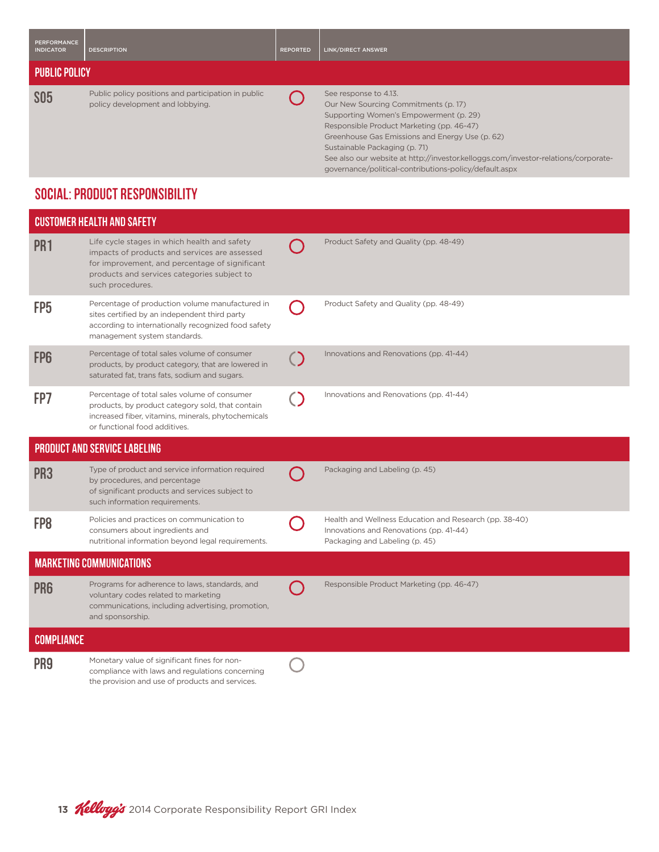| PERFORMANCE<br><b>INDICATOR</b> | <b>DESCRIPTION</b>                                                                      | <b>REPORTED</b> | LINK/DIRECT ANSWER                                                                                                                                                                                                                       |  |
|---------------------------------|-----------------------------------------------------------------------------------------|-----------------|------------------------------------------------------------------------------------------------------------------------------------------------------------------------------------------------------------------------------------------|--|
| <b>PUBLIC POLICY</b>            |                                                                                         |                 |                                                                                                                                                                                                                                          |  |
| <b>SO5</b>                      | Public policy positions and participation in public<br>policy development and lobbying. |                 | See response to 4.13.<br>Our New Sourcing Commitments (p. 17)<br>Supporting Women's Empowerment (p. 29)<br>Responsible Product Marketing (pp. 46-47)<br>Greenhouse Gas Emissions and Energy Use (p. 62)<br>Sustainable Packaging (p. 71) |  |

See also our website at http://investor.kelloggs.com/investor-relations/corporate-

governance/political-contributions-policy/default.aspx

## Social: Product Responsibility

|                   | <b>CUSTOMER HEALTH AND SAFETY</b>                                                                                                                                                                                  |                                                                                                                                     |
|-------------------|--------------------------------------------------------------------------------------------------------------------------------------------------------------------------------------------------------------------|-------------------------------------------------------------------------------------------------------------------------------------|
| PR <sub>1</sub>   | Life cycle stages in which health and safety<br>impacts of products and services are assessed<br>for improvement, and percentage of significant<br>products and services categories subject to<br>such procedures. | Product Safety and Quality (pp. 48-49)                                                                                              |
| FP <sub>5</sub>   | Percentage of production volume manufactured in<br>sites certified by an independent third party<br>according to internationally recognized food safety<br>management system standards.                            | Product Safety and Quality (pp. 48-49)                                                                                              |
| FP <sub>6</sub>   | Percentage of total sales volume of consumer<br>products, by product category, that are lowered in<br>saturated fat, trans fats, sodium and sugars.                                                                | Innovations and Renovations (pp. 41-44)                                                                                             |
| FP7               | Percentage of total sales volume of consumer<br>products, by product category sold, that contain<br>increased fiber, vitamins, minerals, phytochemicals<br>or functional food additives.                           | Innovations and Renovations (pp. 41-44)                                                                                             |
|                   | <b>PRODUCT AND SERVICE LABELING</b>                                                                                                                                                                                |                                                                                                                                     |
| PR <sub>3</sub>   | Type of product and service information required<br>by procedures, and percentage<br>of significant products and services subject to<br>such information requirements.                                             | Packaging and Labeling (p. 45)                                                                                                      |
| FP <sub>8</sub>   | Policies and practices on communication to<br>consumers about ingredients and<br>nutritional information beyond legal requirements.                                                                                | Health and Wellness Education and Research (pp. 38-40)<br>Innovations and Renovations (pp. 41-44)<br>Packaging and Labeling (p. 45) |
|                   | <b>MARKETING COMMUNICATIONS</b>                                                                                                                                                                                    |                                                                                                                                     |
| PR <sub>6</sub>   | Programs for adherence to laws, standards, and<br>voluntary codes related to marketing<br>communications, including advertising, promotion,<br>and sponsorship.                                                    | Responsible Product Marketing (pp. 46-47)                                                                                           |
| <b>COMPLIANCE</b> |                                                                                                                                                                                                                    |                                                                                                                                     |
| PR <sub>9</sub>   | Monetary value of significant fines for non-<br>compliance with laws and regulations concerning<br>the provision and use of products and services.                                                                 |                                                                                                                                     |